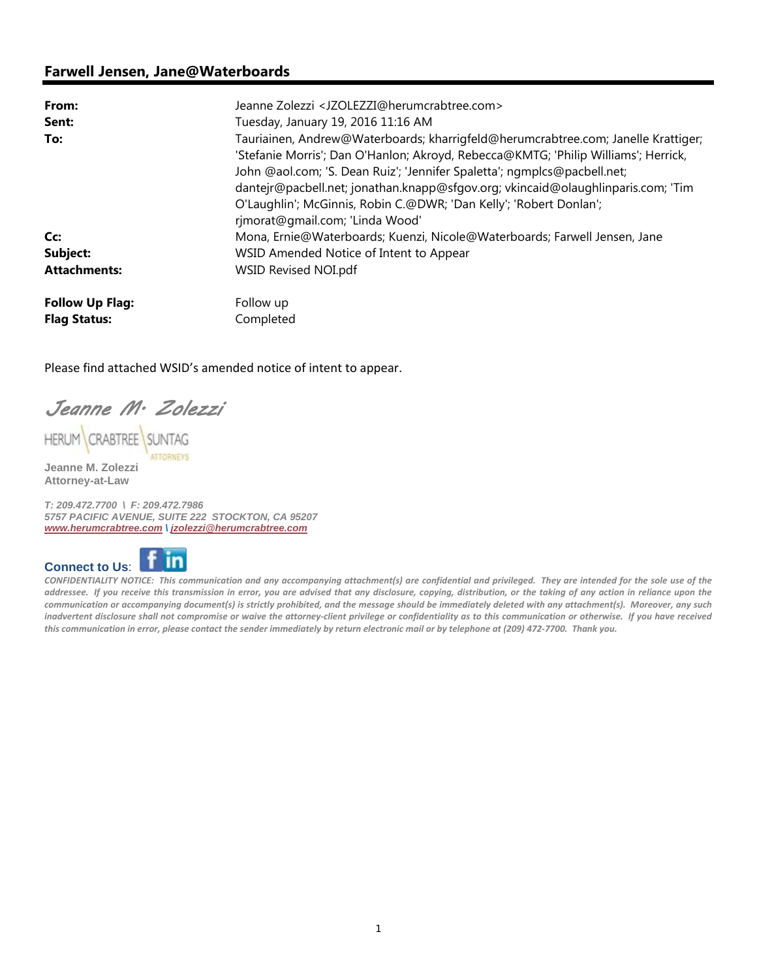## **Farwell Jensen, Jane@Waterboards**

| From:                  | Jeanne Zolezzi <jzolezzi@herumcrabtree.com></jzolezzi@herumcrabtree.com>                                                                                                                                                                                                                                                                                                                                                                         |
|------------------------|--------------------------------------------------------------------------------------------------------------------------------------------------------------------------------------------------------------------------------------------------------------------------------------------------------------------------------------------------------------------------------------------------------------------------------------------------|
| Sent:                  | Tuesday, January 19, 2016 11:16 AM                                                                                                                                                                                                                                                                                                                                                                                                               |
| To:                    | Tauriainen, Andrew@Waterboards; kharrigfeld@herumcrabtree.com; Janelle Krattiger;<br>'Stefanie Morris'; Dan O'Hanlon; Akroyd, Rebecca@KMTG; 'Philip Williams'; Herrick,<br>John @aol.com; 'S. Dean Ruiz'; 'Jennifer Spaletta'; ngmplcs@pacbell.net;<br>dantejr@pacbell.net; jonathan.knapp@sfgov.org; vkincaid@olaughlinparis.com; 'Tim<br>O'Laughlin'; McGinnis, Robin C.@DWR; 'Dan Kelly'; 'Robert Donlan';<br>rjmorat@gmail.com; 'Linda Wood' |
| Cc:                    | Mona, Ernie@Waterboards; Kuenzi, Nicole@Waterboards; Farwell Jensen, Jane                                                                                                                                                                                                                                                                                                                                                                        |
| Subject:               | WSID Amended Notice of Intent to Appear                                                                                                                                                                                                                                                                                                                                                                                                          |
| <b>Attachments:</b>    | WSID Revised NOI.pdf                                                                                                                                                                                                                                                                                                                                                                                                                             |
| <b>Follow Up Flag:</b> | Follow up                                                                                                                                                                                                                                                                                                                                                                                                                                        |
| <b>Flag Status:</b>    | Completed                                                                                                                                                                                                                                                                                                                                                                                                                                        |

Please find attached WSID's amended notice of intent to appear.

Jeanne M. Zolezzi

HERUM CRABTREE SUNTAG

**Jeanne M. Zolezzi Attorney-at-Law** 

*T: 209.472.7700 \ F: 209.472.7986 5757 PACIFIC AVENUE, SUITE 222 STOCKTON, CA 95207 www.herumcrabtree.com \ jzolezzi@herumcrabtree.com*



CONFIDENTIALITY NOTICE: This communication and any accompanying attachment(s) are confidential and privileged. They are intended for the sole use of the addressee. If you receive this transmission in error, you are advised that any disclosure, copying, distribution, or the taking of any action in reliance upon the communication or accompanying document(s) is strictly prohibited, and the message should be immediately deleted with any attachment(s). Moreover, any such inadvertent disclosure shall not compromise or waive the attorney-client privilege or confidentiality as to this communication or otherwise. If you have received this communication in error, please contact the sender immediately by return electronic mail or by telephone at (209) 472-7700. Thank you.